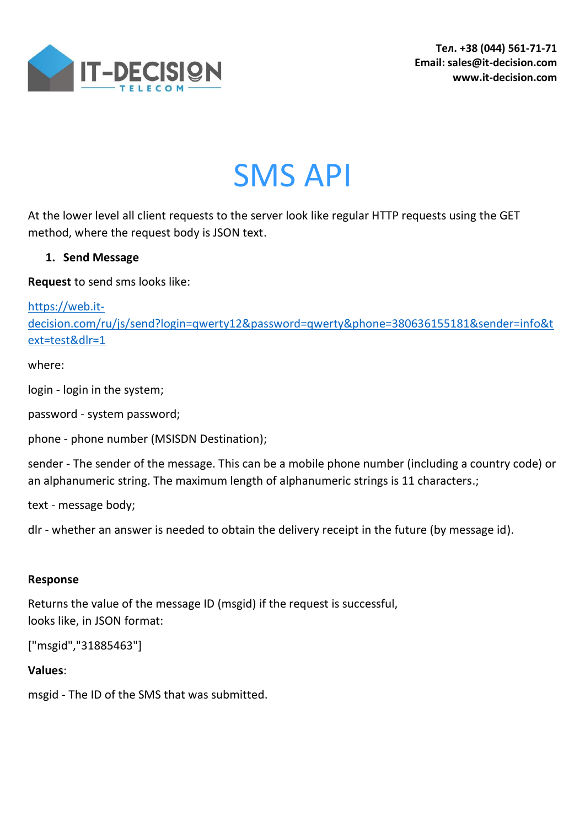

SMS API

At the lower level all client requests to the server look like regular HTTP requests using the GET method, where the request body is JSON text.

# **1. Send Message**

**Request** to send sms looks like:

[https://web.it-](https://web.it-decision.com/ru/js/send?login=qwerty12&password=qwerty&phone=380636155181&sender=info&text=test&dlr=1)

[decision.com/ru/js/send?login=qwerty12&password=qwerty&phone=380636155181&sender=info&t](https://web.it-decision.com/ru/js/send?login=qwerty12&password=qwerty&phone=380636155181&sender=info&text=test&dlr=1) [ext=test&dlr=1](https://web.it-decision.com/ru/js/send?login=qwerty12&password=qwerty&phone=380636155181&sender=info&text=test&dlr=1)

where:

login - login in the system;

password - system password;

phone - phone number (MSISDN Destination);

sender - The sender of the message. This can be a mobile phone number (including a country code) or an alphanumeric string. The maximum length of alphanumeric strings is 11 characters.;

text - message body;

dlr - whether an answer is needed to obtain the delivery receipt in the future (by message id).

### **Response**

Returns the value of the message ID (msgid) if the request is successful, looks like, in JSON format:

["msgid","31885463"]

## **Values**:

msgid - The ID of the SMS that was submitted.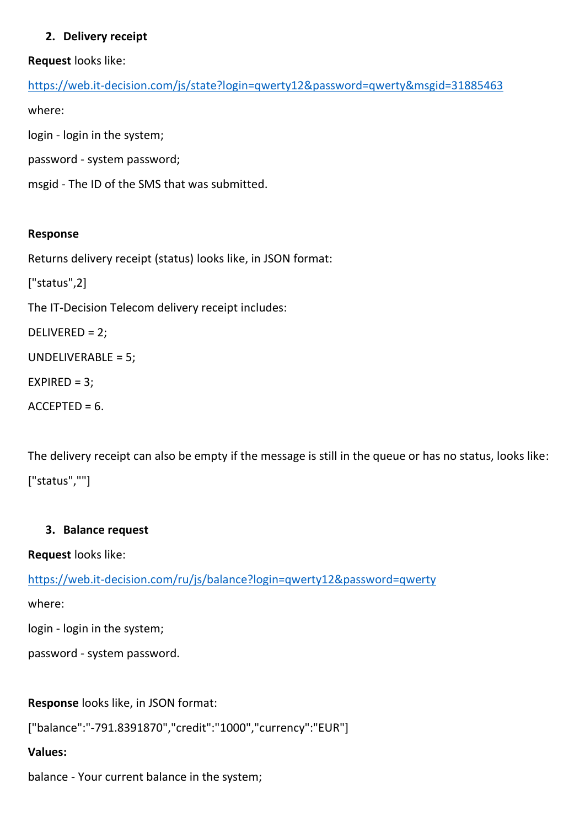## **2. Delivery receipt**

**Request** looks like:

```
https://web.it-decision.com/js/state?login=qwerty12&password=qwerty&msgid=31885463
where:
login - login in the system;
password - system password;
```
msgid - The ID of the SMS that was submitted.

#### **Response**

Returns delivery receipt (status) looks like, in JSON format:

["status",2]

The IT-Decision Telecom delivery receipt includes:

DELIVERED = 2;

UNDELIVERABLE = 5;

 $EXPIRED = 3$ ;

 $ACCEPTED = 6.$ 

The delivery receipt can also be empty if the message is still in the queue or has no status, looks like: ["status",""]

#### **3. Balance request**

**Request** looks like:

<https://web.it-decision.com/ru/js/balance?login=qwerty12&password=qwerty>

where:

login - login in the system;

password - system password.

**Response** looks like, in JSON format:

["balance":"-791.8391870","credit":"1000","currency":"EUR"]

## **Values:**

balance - Your current balance in the system;